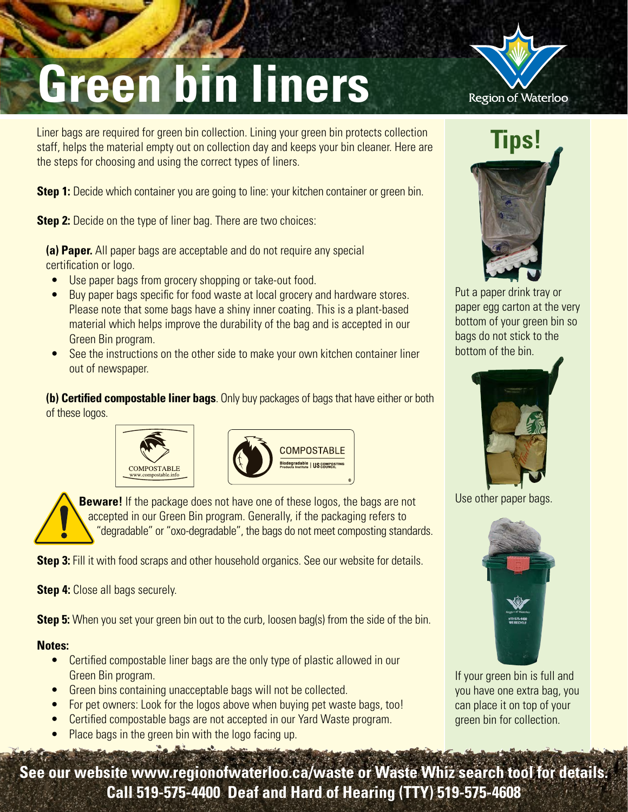## **Green bin liners**

Liner bags are required for green bin collection. Lining your green bin protects collection staff, helps the material empty out on collection day and keeps your bin cleaner. Here are the steps for choosing and using the correct types of liners.

**Step 1:** Decide which container you are going to line: your kitchen container or green bin.

**Step 2:** Decide on the type of liner bag. There are two choices:

**(a) Paper.** All paper bags are acceptable and do not require any special certification or logo.

- Use paper bags from grocery shopping or take-out food.
- Buy paper bags specific for food waste at local grocery and hardware stores. Please note that some bags have a shiny inner coating. This is a plant-based material which helps improve the durability of the bag and is accepted in our Green Bin program.
- See the instructions on the other side to make your own kitchen container liner out of newspaper.

**(b) Certified compostable liner bags**. Only buy packages of bags that have either or both of these logos.





**Beware!** If the package does not have one of these logos, the bags are not accepted in our Green Bin program. Generally, if the packaging refers to "degradable" or "oxo-degradable", the bags do not meet composting standards.

**Step 3:** Fill it with food scraps and other household organics. See our website for details.

**Step 4:** Close all bags securely.

**Step 5:** When you set your green bin out to the curb, loosen bag(s) from the side of the bin.

#### **Notes:**

- Certified compostable liner bags are the only type of plastic allowed in our Green Bin program.
- Green bins containing unacceptable bags will not be collected.
- For pet owners: Look for the logos above when buying pet waste bags, too!
- Certified compostable bags are not accepted in our Yard Waste program.
- Place bags in the green bin with the logo facing up.



# **Tips!**

Put a paper drink tray or paper egg carton at the very bottom of your green bin so bags do not stick to the bottom of the bin.



Use other paper bags.



If your green bin is full and you have one extra bag, you can place it on top of your green bin for collection.

**See our website www.regionofwaterloo.ca/waste or Waste Whiz search tool for details. Call 519-575-4400 Deaf and Hard of Hearing (TTY) 519-575-4608**